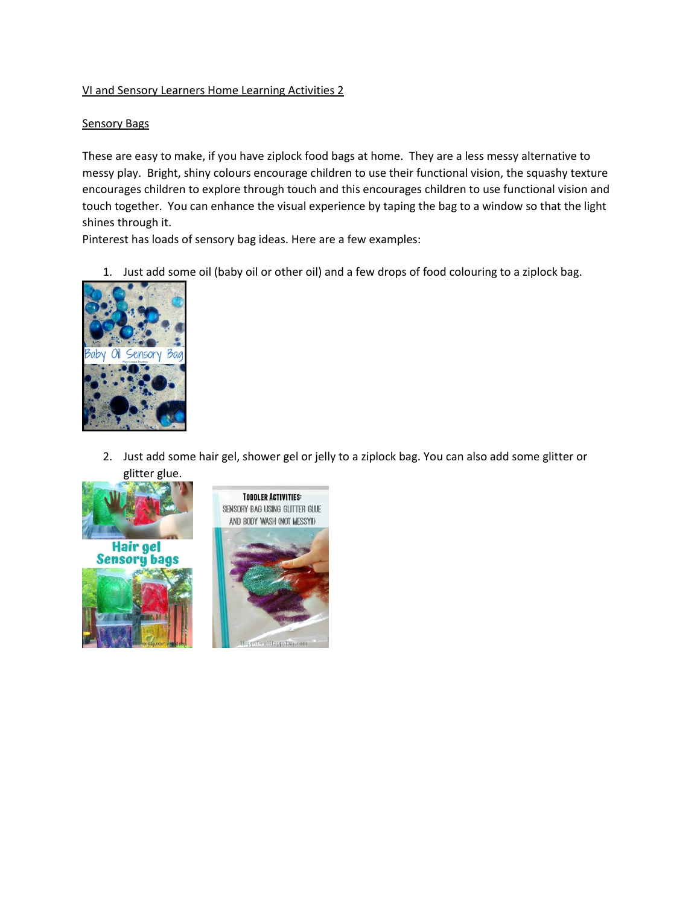## VI and Sensory Learners Home Learning Activities 2

## Sensory Bags

These are easy to make, if you have ziplock food bags at home. They are a less messy alternative to messy play. Bright, shiny colours encourage children to use their functional vision, the squashy texture encourages children to explore through touch and this encourages children to use functional vision and touch together. You can enhance the visual experience by taping the bag to a window so that the light shines through it.

Pinterest has loads of sensory bag ideas. Here are a few examples:

1. Just add some oil (baby oil or other oil) and a few drops of food colouring to a ziplock bag.



2. Just add some hair gel, shower gel or jelly to a ziplock bag. You can also add some glitter or glitter glue.



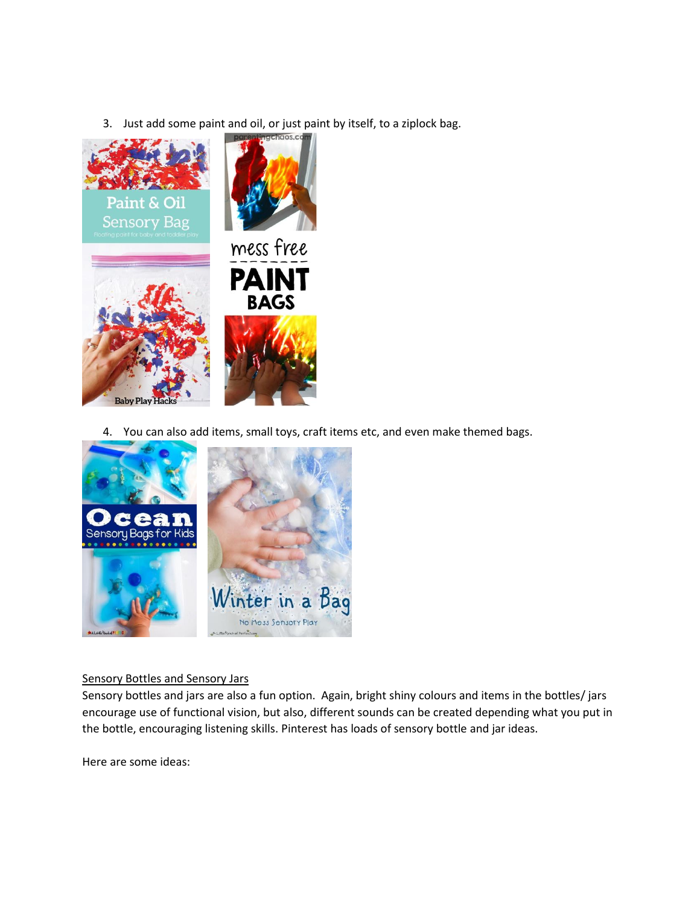3. Just add some paint and oil, or just paint by itself, to a ziplock bag.



4. You can also add items, small toys, craft items etc, and even make themed bags.



## Sensory Bottles and Sensory Jars

Sensory bottles and jars are also a fun option. Again, bright shiny colours and items in the bottles/ jars encourage use of functional vision, but also, different sounds can be created depending what you put in the bottle, encouraging listening skills. Pinterest has loads of sensory bottle and jar ideas.

Here are some ideas: